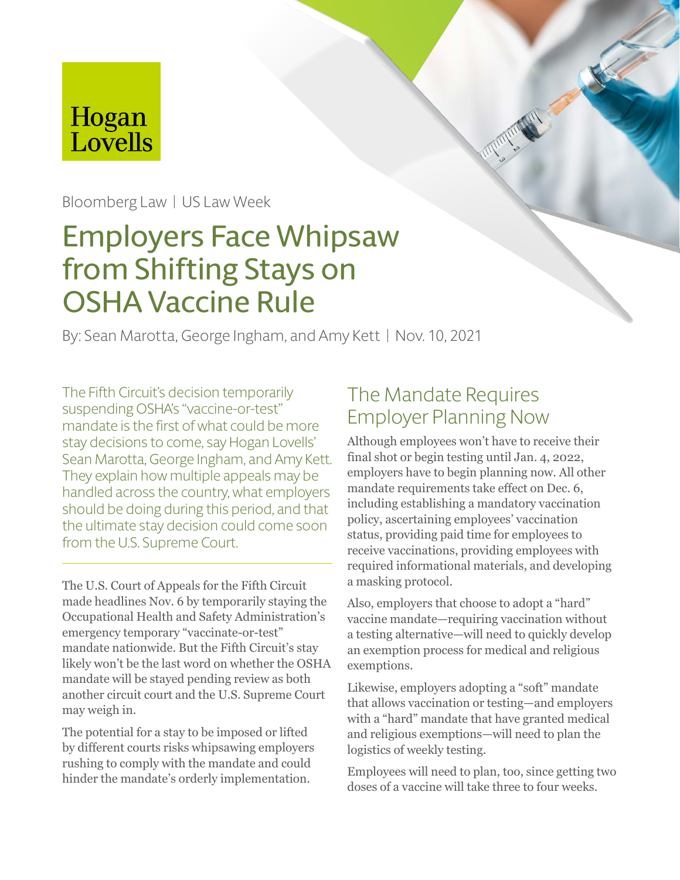# Hogan Lovells

Bloomberg Law | US Law Week

# Employers Face Whipsaw from Shifting Stays on OSHA Vaccine Rule

By: Sean Marotta, George Ingham, and Amy Kett | Nov. 10, 2021

The Fifth Circuit's decision temporarily suspending OSHA's "vaccine-or-test" mandate is the first of what could be more stay decisions to come, say Hogan Lovells' Sean Marotta, George Ingham, and Amy Kett. They explain how multiple appeals may be handled across the country, what employers should be doing during this period, and that the ultimate stay decision could come soon from the U.S. Supreme Court.

The U.S. Court of Appeals for the Fifth Circuit made headlines Nov. 6 by temporarily staying the Occupational Health and Safety Administration's emergency temporary "vaccinate-or-test" mandate nationwide. But the Fifth Circuit's stay likely won't be the last word on whether the OSHA mandate will be stayed pending review as both another circuit court and the U.S. Supreme Court may weigh in.

The potential for a stay to be imposed or lifted by different courts risks whipsawing employers rushing to comply with the mandate and could hinder the mandate's orderly implementation.

#### The Mandate Requires Employer Planning Now

Although employees won't have to receive their final shot or begin testing until Jan. 4, 2022, employers have to begin planning now. All other mandate requirements take effect on Dec. 6, including establishing a mandatory vaccination policy, ascertaining employees' vaccination status, providing paid time for employees to receive vaccinations, providing employees with required informational materials, and developing a masking protocol.

Also, employers that choose to adopt a "hard" vaccine mandate—requiring vaccination without a testing alternative—will need to quickly develop an exemption process for medical and religious exemptions.

Likewise, employers adopting a "soft" mandate that allows vaccination or testing—and employers with a "hard" mandate that have granted medical and religious exemptions—will need to plan the logistics of weekly testing.

Employees will need to plan, too, since getting two doses of a vaccine will take three to four weeks.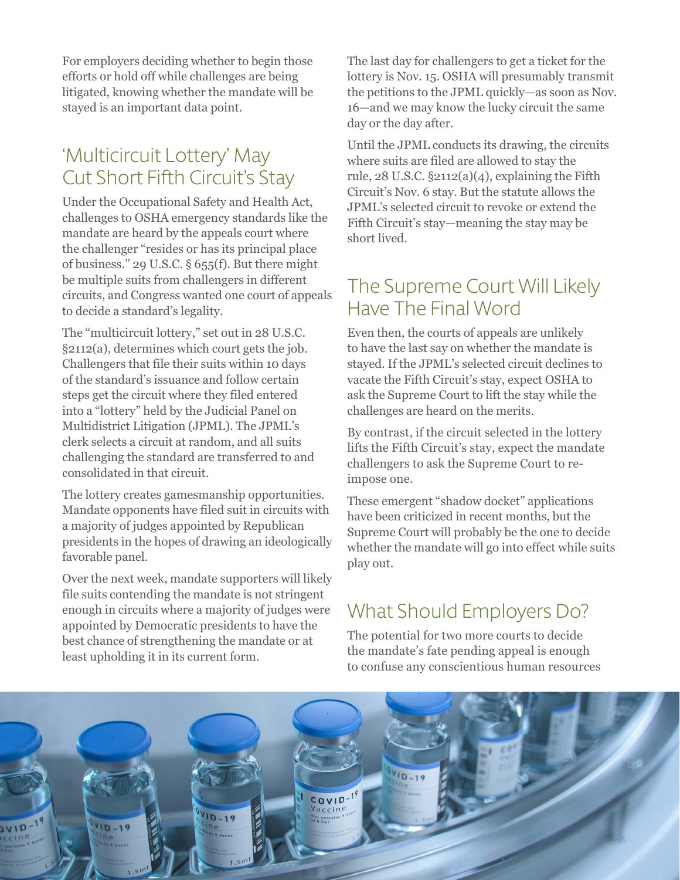For employers deciding whether to begin those efforts or hold off while challenges are being litigated, knowing whether the mandate will be stayed is an important data point.

#### 'Multicircuit Lottery' May Cut Short Fifth Circuit's Stay

Under the Occupational Safety and Health Act, challenges to OSHA emergency standards like the mandate are heard by the appeals court where the challenger "resides or has its principal place of business." 29 U.S.C. § 655(f). But there might be multiple suits from challengers in different circuits, and Congress wanted one court of appeals to decide a standard's legality.

The "multicircuit lottery," set out in 28 U.S.C. §2112(a), determines which court gets the job. Challengers that file their suits within 10 days of the standard's issuance and follow certain steps get the circuit where they filed entered into a "lottery" held by the Judicial Panel on Multidistrict Litigation (JPML). The JPML's clerk selects a circuit at random, and all suits challenging the standard are transferred to and consolidated in that circuit.

The lottery creates gamesmanship opportunities. Mandate opponents have filed suit in circuits with a majority of judges appointed by Republican presidents in the hopes of drawing an ideologically favorable panel.

Over the next week, mandate supporters will likely file suits contending the mandate is not stringent enough in circuits where a majority of judges were appointed by Democratic presidents to have the best chance of strengthening the mandate or at least upholding it in its current form.

The last day for challengers to get a ticket for the lottery is Nov. 15. OSHA will presumably transmit the petitions to the JPML quickly—as soon as Nov. 16—and we may know the lucky circuit the same day or the day after.

Until the JPML conducts its drawing, the circuits where suits are filed are allowed to stay the rule,  $28$  U.S.C.  $\S2112(a)(4)$ , explaining the Fifth Circuit's Nov. 6 stay. But the statute allows the JPML's selected circuit to revoke or extend the Fifth Circuit's stay—meaning the stay may be short lived.

#### The Supreme Court Will Likely Have The Final Word

Even then, the courts of appeals are unlikely to have the last say on whether the mandate is stayed. If the JPML's selected circuit declines to vacate the Fifth Circuit's stay, expect OSHA to ask the Supreme Court to lift the stay while the challenges are heard on the merits.

By contrast, if the circuit selected in the lottery lifts the Fifth Circuit's stay, expect the mandate challengers to ask the Supreme Court to reimpose one.

These emergent "shadow docket" applications have been criticized in recent months, but the Supreme Court will probably be the one to decide whether the mandate will go into effect while suits play out.

### What Should Employers Do?

The potential for two more courts to decide the mandate's fate pending appeal is enough to confuse any conscientious human resources